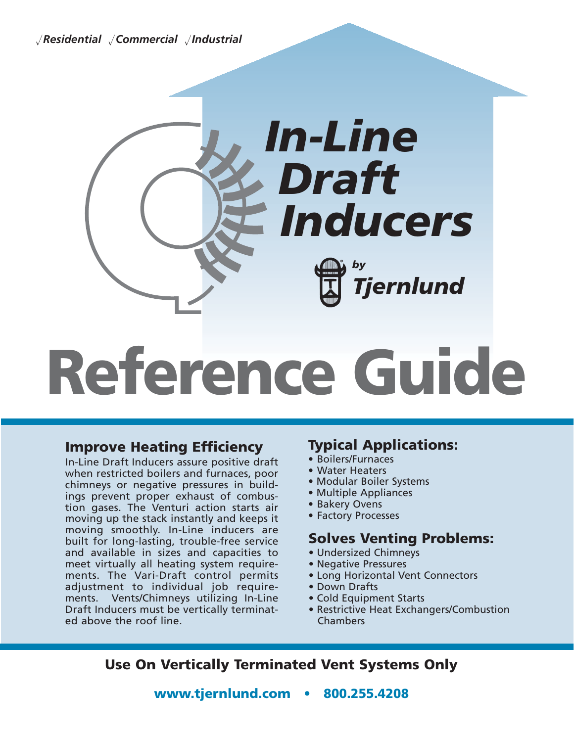-*Residential* -*Commercial* -*Industrial*



## **Reference Guide**

#### **Improve Heating Efficiency**

In-Line Draft Inducers assure positive draft when restricted boilers and furnaces, poor chimneys or negative pressures in buildings prevent proper exhaust of combustion gases. The Venturi action starts air moving up the stack instantly and keeps it moving smoothly. In-Line inducers are built for long-lasting, trouble-free service and available in sizes and capacities to meet virtually all heating system requirements. The Vari-Draft control permits adjustment to individual job requirements. Vents/Chimneys utilizing In-Line Draft Inducers must be vertically terminated above the roof line.

#### **Typical Applications:**

- Boilers/Furnaces
- Water Heaters
- Modular Boiler Systems
- Multiple Appliances
- Bakery Ovens
- Factory Processes

#### **Solves Venting Problems:**

- Undersized Chimneys
- Negative Pressures
- Long Horizontal Vent Connectors
- Down Drafts
- Cold Equipment Starts
- Restrictive Heat Exchangers/Combustion Chambers

**Use On Vertically Terminated Vent Systems Only**

**www.tjernlund.com • 800.255.4208**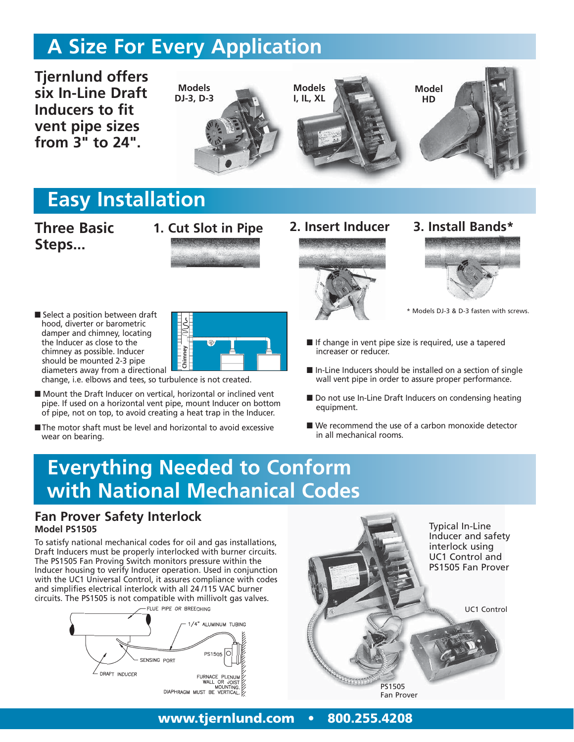## **A Size For Every Application**

**Tjernlund offers six In-Line Draft Inducers to fit vent pipe sizes from 3" to 24".**



## **Easy Installation**

#### **Three Basic Steps...**



■ Select a position between draft hood, diverter or barometric damper and chimney, locating the Inducer as close to the chimney as possible. Inducer should be mounted 2-3 pipe diameters away from a directional



change, i.e. elbows and tees, so turbulence is not created.

- Mount the Draft Inducer on vertical, horizontal or inclined vent pipe. If used on a horizontal vent pipe, mount Inducer on bottom of pipe, not on top, to avoid creating a heat trap in the Inducer.
- The motor shaft must be level and horizontal to avoid excessive wear on bearing.





- \* Models DJ-3 & D-3 fasten with screws.
- If change in vent pipe size is required, use a tapered increaser or reducer.
- In-Line Inducers should be installed on a section of single wall vent pipe in order to assure proper performance.
- Do not use In-Line Draft Inducers on condensing heating equipment.
- We recommend the use of a carbon monoxide detector in all mechanical rooms.

# **Everything Needed to Conform** nimey as possible. Inducer<br>
increaser or<br>
iameters away from a directional<br>
downthe Dark Inducer on vertical, horizontal or inclined went<br>
figure. If used on a horizontal vent pipe, mount Inducer on bottom<br>
figure is not o

#### **Fan Prover Safety Interlock Model PS1505**

To satisfy national mechanical codes for oil and gas installations, Draft Inducers must be properly interlocked with burner circuits. The PS1505 Fan Proving Switch monitors pressure within the Inducer housing to verify Inducer operation. Used in conjunction with the UC1 Universal Control, it assures compliance with codes and simplifies electrical interlock with all 24 /115 VAC burner circuits. The PS1505 is not compatible with millivolt gas valves.





#### **www.tjernlund.com • 800.255.4208**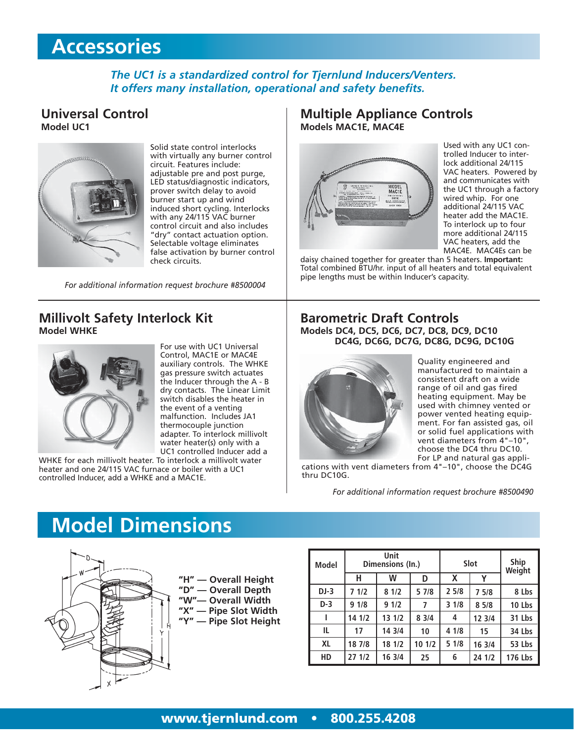## **Accessories**

#### *The UC1 is a standardized control for Tjernlund Inducers/Venters. It offers many installation, operational and safety benefits.*

#### **Universal Control Model UC1**



Solid state control interlocks with virtually any burner control circuit. Features include: adjustable pre and post purge, LED status/diagnostic indicators, prover switch delay to avoid burner start up and wind induced short cycling. Interlocks with any 24/115 VAC burner control circuit and also includes "dry" contact actuation option. Selectable voltage eliminates false activation by burner control check circuits.

*For additional information request brochure #8500004*

#### **Millivolt Safety Interlock Kit Model WHKE**



For use with UC1 Universal Control, MAC1E or MAC4E auxiliary controls. The WHKE gas pressure switch actuates the Inducer through the A - B dry contacts. The Linear Limit switch disables the heater in the event of a venting malfunction. Includes JA1 thermocouple junction adapter. To interlock millivolt water heater(s) only with a UC1 controlled Inducer add a

WHKE for each millivolt heater. To interlock a millivolt water heater and one 24/115 VAC furnace or boiler with a UC1 controlled Inducer, add a WHKE and a MAC1E.

#### **Multiple Appliance Controls Models MAC1E, MAC4E**



Used with any UC1 controlled Inducer to interlock additional 24/115 VAC heaters. Powered by and communicates with the UC1 through a factory wired whip. For one additional 24/115 VAC heater add the MAC1E. To interlock up to four more additional 24/115 VAC heaters, add the MAC4E. MAC4Es can be

daisy chained together for greater than 5 heaters. **Important:** Total combined BTU/hr. input of all heaters and total equivalent pipe lengths must be within Inducer's capacity.

#### **Barometric Draft Controls Models DC4, DC5, DC6, DC7, DC8, DC9, DC10 DC4G, DC6G, DC7G, DC8G, DC9G, DC10G**



Quality engineered and manufactured to maintain a consistent draft on a wide range of oil and gas fired heating equipment. May be used with chimney vented or power vented heating equipment. For fan assisted gas, oil or solid fuel applications with vent diameters from 4"–10", choose the DC4 thru DC10. For LP and natural gas appli-

cations with vent diameters from 4"–10", choose the DC4G thru DC10G.

*For additional information request brochure #8500490*

## **Model Dimensions**



| <b>Model</b> |        | Unit<br>Dimensions (In.) |        | Slot | <b>Ship</b><br>Weight |         |  |
|--------------|--------|--------------------------|--------|------|-----------------------|---------|--|
|              | н      | w                        | D      | X    | v                     |         |  |
| $DJ-3$       | 71/2   | 81/2                     | 5 7/8  | 25/8 | 75/8                  | 8 Lbs   |  |
| $D-3$        | 91/8   | 91/2                     | 7      | 31/8 | 85/8                  | 10 Lbs  |  |
|              | 14 1/2 | 13 1/2                   | 83/4   | 4    | 12 3/4                | 31 Lbs  |  |
| IL           | 17     | 14 3/4                   | 10     | 41/8 | 15                    | 34 Lbs  |  |
| <b>XL</b>    | 18 7/8 | 18 1/2                   | 10 1/2 | 51/8 | 16 3/4                | 53 Lbs  |  |
| HD           | 27 1/2 | 16 3/4                   | 25     | 6    | 24 1/2                | 176 Lbs |  |